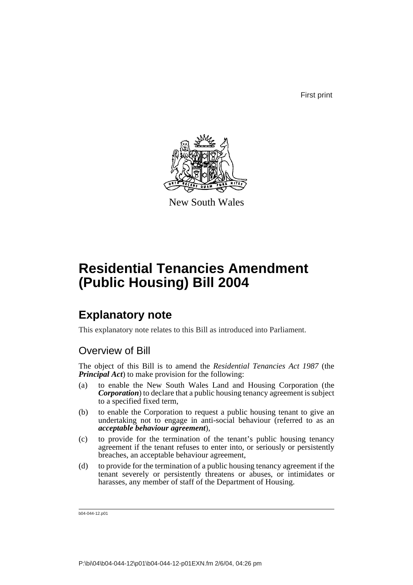First print



New South Wales

# **Residential Tenancies Amendment (Public Housing) Bill 2004**

## **Explanatory note**

This explanatory note relates to this Bill as introduced into Parliament.

## Overview of Bill

The object of this Bill is to amend the *Residential Tenancies Act 1987* (the *Principal Act*) to make provision for the following:

- (a) to enable the New South Wales Land and Housing Corporation (the *Corporation*) to declare that a public housing tenancy agreement is subject to a specified fixed term,
- (b) to enable the Corporation to request a public housing tenant to give an undertaking not to engage in anti-social behaviour (referred to as an *acceptable behaviour agreement*),
- (c) to provide for the termination of the tenant's public housing tenancy agreement if the tenant refuses to enter into, or seriously or persistently breaches, an acceptable behaviour agreement,
- (d) to provide for the termination of a public housing tenancy agreement if the tenant severely or persistently threatens or abuses, or intimidates or harasses, any member of staff of the Department of Housing.

b04-044-12.p01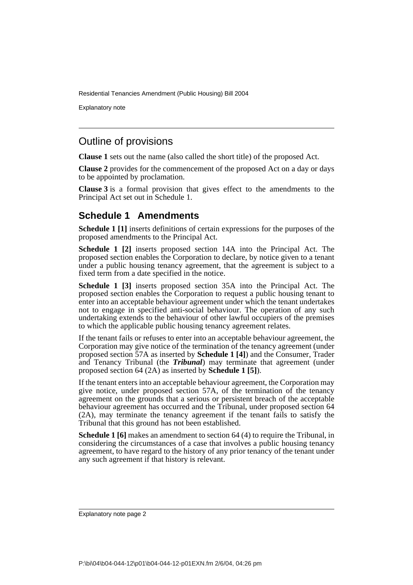Explanatory note

### Outline of provisions

**Clause 1** sets out the name (also called the short title) of the proposed Act.

**Clause 2** provides for the commencement of the proposed Act on a day or days to be appointed by proclamation.

**Clause 3** is a formal provision that gives effect to the amendments to the Principal Act set out in Schedule 1.

### **Schedule 1 Amendments**

**Schedule 1 [1]** inserts definitions of certain expressions for the purposes of the proposed amendments to the Principal Act.

**Schedule 1 [2]** inserts proposed section 14A into the Principal Act. The proposed section enables the Corporation to declare, by notice given to a tenant under a public housing tenancy agreement, that the agreement is subject to a fixed term from a date specified in the notice.

**Schedule 1 [3]** inserts proposed section 35A into the Principal Act. The proposed section enables the Corporation to request a public housing tenant to enter into an acceptable behaviour agreement under which the tenant undertakes not to engage in specified anti-social behaviour. The operation of any such undertaking extends to the behaviour of other lawful occupiers of the premises to which the applicable public housing tenancy agreement relates.

If the tenant fails or refuses to enter into an acceptable behaviour agreement, the Corporation may give notice of the termination of the tenancy agreement (under proposed section 57A as inserted by **Schedule 1 [4]**) and the Consumer, Trader and Tenancy Tribunal (the *Tribunal*) may terminate that agreement (under proposed section 64 (2A) as inserted by **Schedule 1 [5]**).

If the tenant enters into an acceptable behaviour agreement, the Corporation may give notice, under proposed section 57A, of the termination of the tenancy agreement on the grounds that a serious or persistent breach of the acceptable behaviour agreement has occurred and the Tribunal, under proposed section 64 (2A), may terminate the tenancy agreement if the tenant fails to satisfy the Tribunal that this ground has not been established.

**Schedule 1 [6]** makes an amendment to section 64 (4) to require the Tribunal, in considering the circumstances of a case that involves a public housing tenancy agreement, to have regard to the history of any prior tenancy of the tenant under any such agreement if that history is relevant.

Explanatory note page 2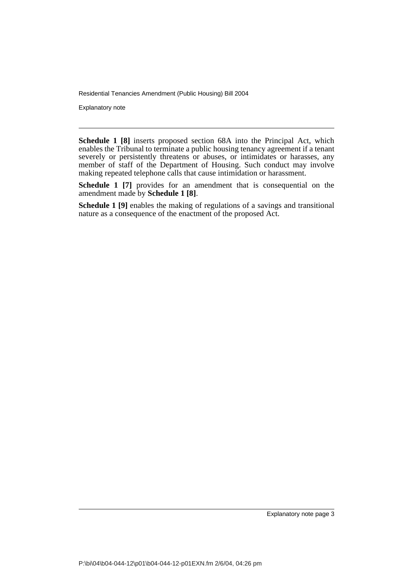Explanatory note

**Schedule 1 [8]** inserts proposed section 68A into the Principal Act, which enables the Tribunal to terminate a public housing tenancy agreement if a tenant severely or persistently threatens or abuses, or intimidates or harasses, any member of staff of the Department of Housing. Such conduct may involve making repeated telephone calls that cause intimidation or harassment.

**Schedule 1 [7]** provides for an amendment that is consequential on the amendment made by **Schedule 1 [8]**.

**Schedule 1 [9]** enables the making of regulations of a savings and transitional nature as a consequence of the enactment of the proposed Act.

Explanatory note page 3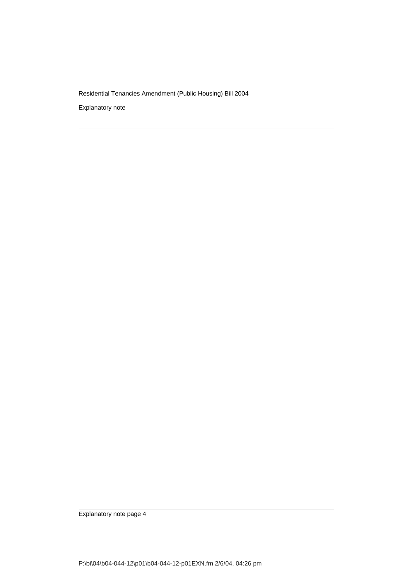Explanatory note

Explanatory note page 4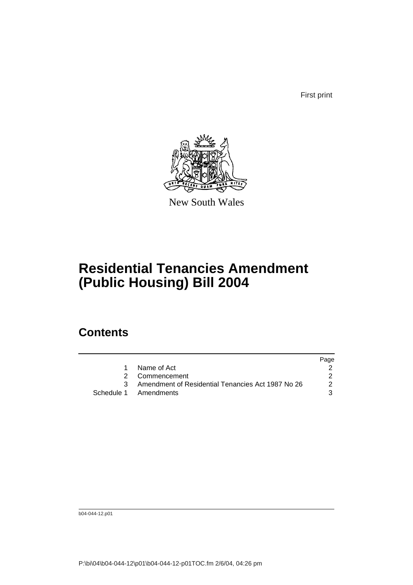First print



New South Wales

# **Residential Tenancies Amendment (Public Housing) Bill 2004**

## **Contents**

|                                                     | Page          |
|-----------------------------------------------------|---------------|
| Name of Act                                         |               |
| 2 Commencement                                      |               |
| 3 Amendment of Residential Tenancies Act 1987 No 26 | $\mathcal{P}$ |
| Schedule 1 Amendments                               | 3             |
|                                                     |               |

b04-044-12.p01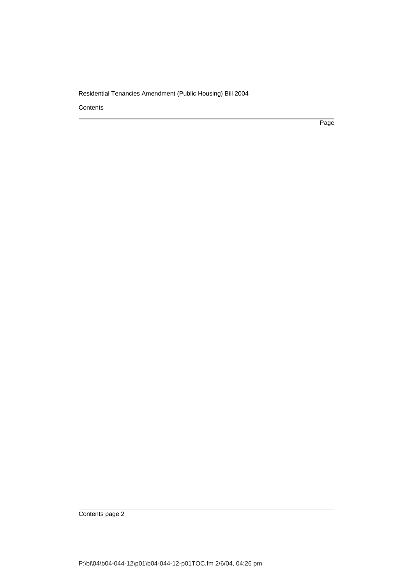**Contents** 

Page

Contents page 2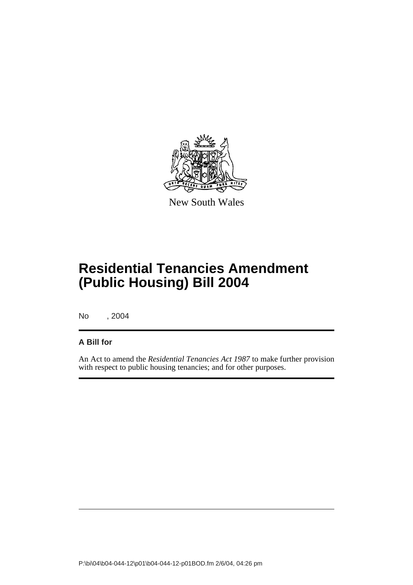

New South Wales

# **Residential Tenancies Amendment (Public Housing) Bill 2004**

No , 2004

### **A Bill for**

An Act to amend the *Residential Tenancies Act 1987* to make further provision with respect to public housing tenancies; and for other purposes.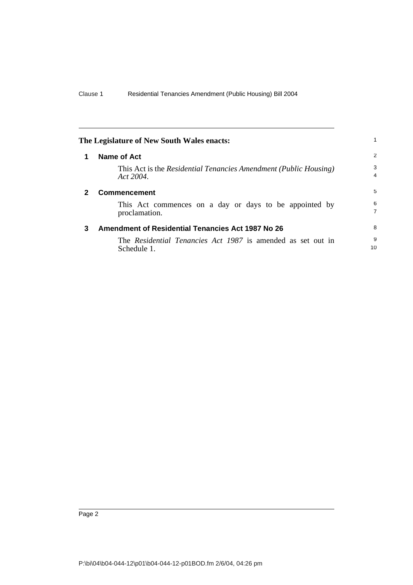<span id="page-7-2"></span><span id="page-7-1"></span><span id="page-7-0"></span>

| The Legislature of New South Wales enacts: |                                                                                   |         |  |  |
|--------------------------------------------|-----------------------------------------------------------------------------------|---------|--|--|
|                                            | Name of Act                                                                       | 2       |  |  |
|                                            | This Act is the Residential Tenancies Amendment (Public Housing)<br>Act 2004.     | 3<br>4  |  |  |
| $\mathbf{2}$                               | <b>Commencement</b>                                                               | 5       |  |  |
|                                            | This Act commences on a day or days to be appointed by<br>proclamation.           | 6<br>7  |  |  |
| 3                                          | Amendment of Residential Tenancies Act 1987 No 26                                 | 8       |  |  |
|                                            | The <i>Residential Tenancies Act 1987</i> is amended as set out in<br>Schedule 1. | 9<br>10 |  |  |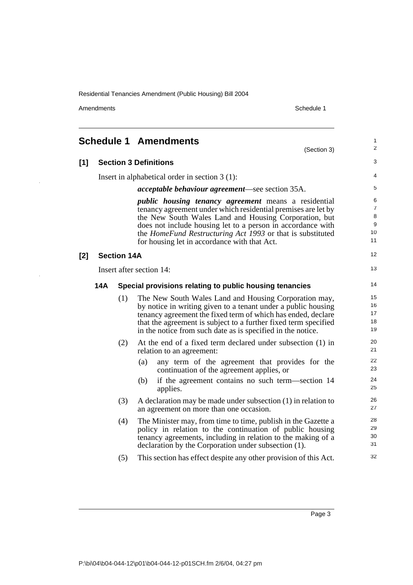Amendments Schedule 1

 $\frac{1}{2}$ 

 $\frac{1}{2}$ 

<span id="page-8-0"></span>

|     |            |                    | <b>Schedule 1 Amendments</b>                                                                                                                                                                                                                                                                                                                                       | (Section 3) | $\mathbf 1$<br>2                          |
|-----|------------|--------------------|--------------------------------------------------------------------------------------------------------------------------------------------------------------------------------------------------------------------------------------------------------------------------------------------------------------------------------------------------------------------|-------------|-------------------------------------------|
| [1] |            |                    | <b>Section 3 Definitions</b>                                                                                                                                                                                                                                                                                                                                       |             | 3                                         |
|     |            |                    | Insert in alphabetical order in section $3(1)$ :                                                                                                                                                                                                                                                                                                                   |             | 4                                         |
|     |            |                    | <i>acceptable behaviour agreement—see section 35A.</i>                                                                                                                                                                                                                                                                                                             |             | 5                                         |
|     |            |                    | <i>public housing tenancy agreement</i> means a residential<br>tenancy agreement under which residential premises are let by<br>the New South Wales Land and Housing Corporation, but<br>does not include housing let to a person in accordance with<br>the HomeFund Restructuring Act 1993 or that is substituted<br>for housing let in accordance with that Act. |             | 6<br>$\overline{7}$<br>8<br>9<br>10<br>11 |
| [2] |            | <b>Section 14A</b> |                                                                                                                                                                                                                                                                                                                                                                    |             | 12                                        |
|     |            |                    | Insert after section 14:                                                                                                                                                                                                                                                                                                                                           |             | 13                                        |
|     | <b>14A</b> |                    | Special provisions relating to public housing tenancies                                                                                                                                                                                                                                                                                                            |             | 14                                        |
|     |            | (1)                | The New South Wales Land and Housing Corporation may,<br>by notice in writing given to a tenant under a public housing<br>tenancy agreement the fixed term of which has ended, declare<br>that the agreement is subject to a further fixed term specified<br>in the notice from such date as is specified in the notice.                                           |             | 15<br>16<br>17<br>18<br>19                |
|     |            | (2)                | At the end of a fixed term declared under subsection (1) in<br>relation to an agreement:                                                                                                                                                                                                                                                                           |             | 20<br>21                                  |
|     |            |                    | (a)<br>any term of the agreement that provides for the<br>continuation of the agreement applies, or                                                                                                                                                                                                                                                                |             | 22<br>23                                  |
|     |            |                    | if the agreement contains no such term—section 14<br>(b)<br>applies.                                                                                                                                                                                                                                                                                               |             | 24<br>25                                  |
|     |            | (3)                | A declaration may be made under subsection $(1)$ in relation to<br>an agreement on more than one occasion.                                                                                                                                                                                                                                                         |             | 26<br>27                                  |
|     |            | (4)                | The Minister may, from time to time, publish in the Gazette a<br>policy in relation to the continuation of public housing<br>tenancy agreements, including in relation to the making of a<br>declaration by the Corporation under subsection (1).                                                                                                                  |             | 28<br>29<br>30<br>31                      |
|     |            | (5)                | This section has effect despite any other provision of this Act.                                                                                                                                                                                                                                                                                                   |             | 32                                        |

Page 3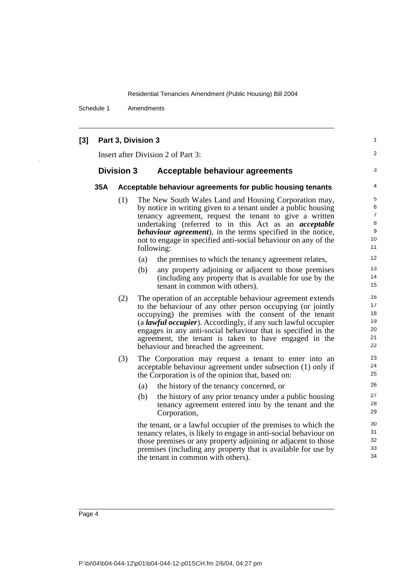Schedule 1 Amendments

| $[3]$ | Part 3, Division 3                                  |                                                            |                                                                                                                                                                                                                                                                                                                                                                                                                        |                                                                     |  |  |  |
|-------|-----------------------------------------------------|------------------------------------------------------------|------------------------------------------------------------------------------------------------------------------------------------------------------------------------------------------------------------------------------------------------------------------------------------------------------------------------------------------------------------------------------------------------------------------------|---------------------------------------------------------------------|--|--|--|
|       |                                                     |                                                            | Insert after Division 2 of Part 3:                                                                                                                                                                                                                                                                                                                                                                                     | 2                                                                   |  |  |  |
|       |                                                     | <b>Division 3</b>                                          | Acceptable behaviour agreements                                                                                                                                                                                                                                                                                                                                                                                        | 3                                                                   |  |  |  |
|       | 35A                                                 | Acceptable behaviour agreements for public housing tenants |                                                                                                                                                                                                                                                                                                                                                                                                                        |                                                                     |  |  |  |
|       |                                                     | (1)                                                        | The New South Wales Land and Housing Corporation may,<br>by notice in writing given to a tenant under a public housing<br>tenancy agreement, request the tenant to give a written<br>undertaking (referred to in this Act as an <i>acceptable</i><br><b>behaviour agreement</b> ), in the terms specified in the notice,<br>not to engage in specified anti-social behaviour on any of the<br>following:               | 5<br>6<br>$\overline{7}$<br>$\bf 8$<br>$\boldsymbol{9}$<br>10<br>11 |  |  |  |
|       | (a)<br>(b)<br>tenant in common with others).<br>(2) |                                                            | the premises to which the tenancy agreement relates,<br>any property adjoining or adjacent to those premises<br>(including any property that is available for use by the                                                                                                                                                                                                                                               | 12<br>13<br>14<br>15                                                |  |  |  |
|       |                                                     |                                                            | The operation of an acceptable behaviour agreement extends<br>to the behaviour of any other person occupying (or jointly<br>occupying) the premises with the consent of the tenant<br>(a lawful occupier). Accordingly, if any such lawful occupier<br>engages in any anti-social behaviour that is specified in the<br>agreement, the tenant is taken to have engaged in the<br>behaviour and breached the agreement. | 16<br>17<br>18<br>19<br>20<br>21<br>22                              |  |  |  |
|       |                                                     | (3)                                                        | The Corporation may request a tenant to enter into an<br>acceptable behaviour agreement under subsection (1) only if<br>the Corporation is of the opinion that, based on:<br>the history of the tenancy concerned, or<br>(a)<br>the history of any prior tenancy under a public housing<br>(b)<br>tenancy agreement entered into by the tenant and the<br>Corporation,                                                 | 23<br>24<br>25<br>26<br>27<br>28<br>29                              |  |  |  |
|       |                                                     |                                                            | the tenant, or a lawful occupier of the premises to which the<br>tenancy relates, is likely to engage in anti-social behaviour on<br>those premises or any property adjoining or adjacent to those<br>premises (including any property that is available for use by<br>the tenant in common with others).                                                                                                              | 30<br>31<br>32<br>33<br>34                                          |  |  |  |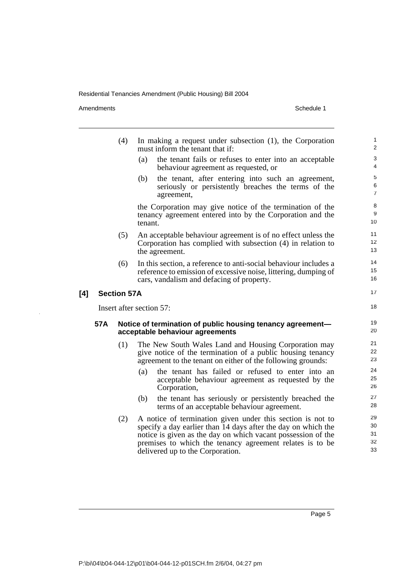Amendments Schedule 1

 $[4]$ 

|     | (4)                | In making a request under subsection (1), the Corporation<br>must inform the tenant that if:                                                                                                                                                                                                | $\mathbf{1}$<br>2                  |
|-----|--------------------|---------------------------------------------------------------------------------------------------------------------------------------------------------------------------------------------------------------------------------------------------------------------------------------------|------------------------------------|
|     |                    | the tenant fails or refuses to enter into an acceptable<br>(a)<br>behaviour agreement as requested, or                                                                                                                                                                                      | 3<br>$\overline{4}$                |
|     |                    | the tenant, after entering into such an agreement,<br>(b)<br>seriously or persistently breaches the terms of the<br>agreement,                                                                                                                                                              | $\,$ 5 $\,$<br>6<br>$\overline{7}$ |
|     |                    | the Corporation may give notice of the termination of the<br>tenancy agreement entered into by the Corporation and the<br>tenant.                                                                                                                                                           | 8<br>9<br>10                       |
|     | (5)                | An acceptable behaviour agreement is of no effect unless the<br>Corporation has complied with subsection (4) in relation to<br>the agreement.                                                                                                                                               | 11<br>12<br>13                     |
|     | (6)                | In this section, a reference to anti-social behaviour includes a<br>reference to emission of excessive noise, littering, dumping of<br>cars, vandalism and defacing of property.                                                                                                            | 14<br>15<br>16                     |
|     | <b>Section 57A</b> |                                                                                                                                                                                                                                                                                             | 17                                 |
|     |                    | Insert after section 57:                                                                                                                                                                                                                                                                    | 18                                 |
| 57A |                    | Notice of termination of public housing tenancy agreement-<br>acceptable behaviour agreements                                                                                                                                                                                               | 19<br>20                           |
|     | (1)                | The New South Wales Land and Housing Corporation may<br>give notice of the termination of a public housing tenancy<br>agreement to the tenant on either of the following grounds:                                                                                                           | 21<br>22<br>23                     |
|     |                    | the tenant has failed or refused to enter into an<br>(a)<br>acceptable behaviour agreement as requested by the<br>Corporation,                                                                                                                                                              | 24<br>25<br>26                     |
|     |                    | the tenant has seriously or persistently breached the<br>(b)<br>terms of an acceptable behaviour agreement.                                                                                                                                                                                 | 27<br>28                           |
|     | (2)                | A notice of termination given under this section is not to<br>specify a day earlier than 14 days after the day on which the<br>notice is given as the day on which vacant possession of the<br>premises to which the tenancy agreement relates is to be<br>delivered up to the Corporation. | 29<br>30<br>31<br>32<br>33         |

Page 5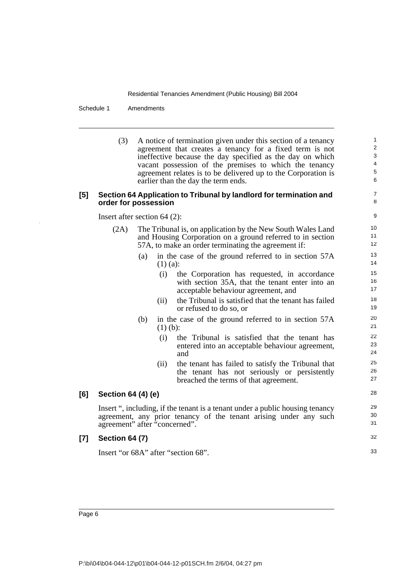Schedule 1 Amendments

|       | (3)                                                                                                                                                                                 |     |            | A notice of termination given under this section of a tenancy<br>agreement that creates a tenancy for a fixed term is not<br>ineffective because the day specified as the day on which<br>vacant possession of the premises to which the tenancy<br>agreement relates is to be delivered up to the Corporation is<br>earlier than the day the term ends. | 1<br>2<br>$\mathbf{3}$<br>$\overline{4}$<br>$\sqrt{5}$<br>6 |
|-------|-------------------------------------------------------------------------------------------------------------------------------------------------------------------------------------|-----|------------|----------------------------------------------------------------------------------------------------------------------------------------------------------------------------------------------------------------------------------------------------------------------------------------------------------------------------------------------------------|-------------------------------------------------------------|
| $[5]$ | order for possession                                                                                                                                                                |     |            | Section 64 Application to Tribunal by landlord for termination and                                                                                                                                                                                                                                                                                       | $\overline{7}$<br>8                                         |
|       | Insert after section $64$ (2):                                                                                                                                                      |     |            |                                                                                                                                                                                                                                                                                                                                                          | 9                                                           |
|       | (2A)                                                                                                                                                                                |     |            | The Tribunal is, on application by the New South Wales Land<br>and Housing Corporation on a ground referred to in section<br>57A, to make an order terminating the agreement if:                                                                                                                                                                         | 10<br>11<br>12                                              |
|       |                                                                                                                                                                                     | (a) | $(1)$ (a): | in the case of the ground referred to in section 57A                                                                                                                                                                                                                                                                                                     | 13<br>14                                                    |
|       |                                                                                                                                                                                     |     | (i)        | the Corporation has requested, in accordance<br>with section 35A, that the tenant enter into an<br>acceptable behaviour agreement, and                                                                                                                                                                                                                   | 15<br>16<br>17                                              |
|       |                                                                                                                                                                                     |     | (ii)       | the Tribunal is satisfied that the tenant has failed<br>or refused to do so, or                                                                                                                                                                                                                                                                          | 18<br>19                                                    |
|       |                                                                                                                                                                                     | (b) | $(1)$ (b): | in the case of the ground referred to in section 57A                                                                                                                                                                                                                                                                                                     | 20<br>21                                                    |
|       |                                                                                                                                                                                     |     | (i)        | the Tribunal is satisfied that the tenant has<br>entered into an acceptable behaviour agreement,<br>and                                                                                                                                                                                                                                                  | 22<br>23<br>24                                              |
|       |                                                                                                                                                                                     |     | (ii)       | the tenant has failed to satisfy the Tribunal that<br>the tenant has not seriously or persistently<br>breached the terms of that agreement.                                                                                                                                                                                                              | 25<br>26<br>27                                              |
| [6]   | Section 64 (4) (e)                                                                                                                                                                  |     |            |                                                                                                                                                                                                                                                                                                                                                          | 28                                                          |
|       | Insert ", including, if the tenant is a tenant under a public housing tenancy<br>agreement, any prior tenancy of the tenant arising under any such<br>agreement" after "concerned". |     |            |                                                                                                                                                                                                                                                                                                                                                          |                                                             |
| $[7]$ | <b>Section 64 (7)</b>                                                                                                                                                               |     |            |                                                                                                                                                                                                                                                                                                                                                          | 32                                                          |
|       | Insert "or 68A" after "section 68"                                                                                                                                                  |     |            |                                                                                                                                                                                                                                                                                                                                                          | 33                                                          |

Insert "or 68A" after "section 68".